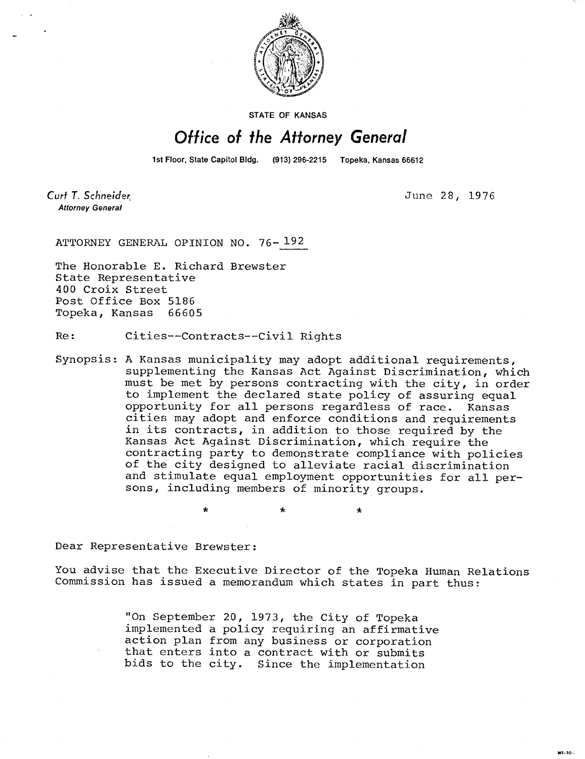

**STATE OF KANSAS** 

## Office of the Attorney General

1st Floor, State Capitol Bldg. (913) 296-2215 Topeka, Kansas 66612

Curt T. Schneider **Attorney General** 

June 28, 1976

ATTORNEY GENERAL OPINION NO. 76- 192

The Honorable E. Richard Brewster State Representative 400 Croix Street Post Office Box 5186 Topeka, Kansas 66605

Re: Cities--Contracts--Civil Rights

Synopsis: A Kansas municipality may adopt additional requirements, supplementing the Kansas Act Against Discrimination, which must be met by persons contracting with the city, in order to implement the declared state policy of assuring equal opportunity for all persons regardless of race. Kansas cities may adopt and enforce conditions and requirements in its contracts, in addition to those required by the Kansas Act Against Discrimination, which require the contracting party to demonstrate compliance with policies of the city designed to alleviate racial discrimination and stimulate equal employment opportunities for all persons, including members of minority groups.

Dear Representative Brewster:

You advise that the Executive Director of the Topeka Human Relations Commission has issued a memorandum which states in part thus:

> "On September 20, 1973, the City of Topeka implemented a policy requiring an affirmative action plan from any business or corporation that enters into a contract with or submits bids to the city. Since the implementation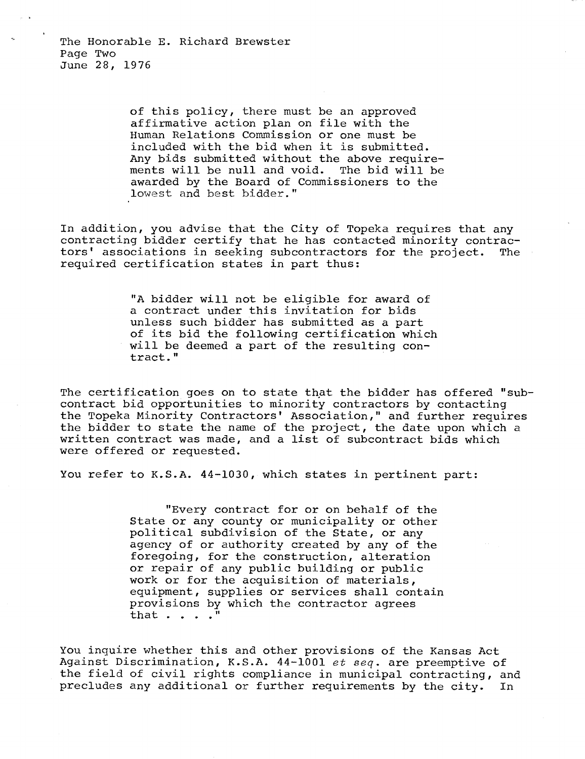of this policy, there must be an approved affirmative action plan on file with the Human Relations Commission or one must be included with the bid when it is submitted. Any bids submitted without the above requirements will be null and void. The bid will be awarded by the Board of Commissioners to the lowest and best bidder."

In addition, you advise that the City of Topeka requires that any contracting bidder certify that he has contacted minority contractors' associations in seeking subcontractors for the project. The required certification states in part thus:

> "A bidder will not be eligible for award of a contract under this invitation for bids unless such bidder has submitted as a part of its bid the following certification which will be deemed a part of the resulting contract."

The certification goes on to state that the bidder has offered "subcontract bid opportunities to minority contractors by contacting the Topeka Minority Contractors' Association," and further requires the bidder to state the name of the project, the date upon which a written contract was made, and a list of subcontract bids which were offered or requested.

You refer to K.S.A. 44-1030, which states in pertinent part:

"Every contract for or on behalf of the State or any county or municipality or other political subdivision of the State, or any agency of or authority created by any of the foregoing, for the construction, alteration or repair of any public building or public work or for the acquisition of materials, equipment, supplies or services shall contain provisions by which the contractor agrees that . . . ."

You inquire whether this and other provisions of the Kansas Act Against Discrimination, K.S.A. 44-1001 et seq. are preemptive of the field of civil rights compliance in municipal contracting, and precludes any additional or further requirements by the city. In